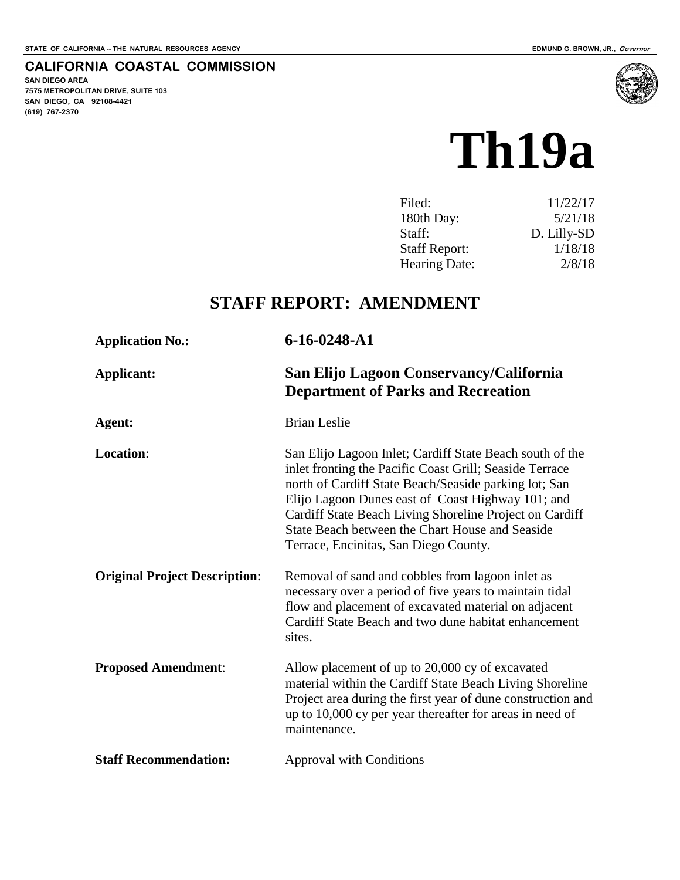#### **CALIFORNIA COASTAL COMMISSION**

**SAN DIEGO AREA 7575 METROPOLITAN DRIVE, SUITE 103 SAN DIEGO, CA 92108-4421 (619) 767-2370**

 $\overline{a}$ 



| Filed:               | 11/22/17    |
|----------------------|-------------|
| 180th Day:           | 5/21/18     |
| Staff:               | D. Lilly-SD |
| <b>Staff Report:</b> | 1/18/18     |
| <b>Hearing Date:</b> | 2/8/18      |

# **STAFF REPORT: AMENDMENT**

| <b>Application No.:</b>              | 6-16-0248-A1                                                                                                                                                                                                                                                                                                                                                                             |
|--------------------------------------|------------------------------------------------------------------------------------------------------------------------------------------------------------------------------------------------------------------------------------------------------------------------------------------------------------------------------------------------------------------------------------------|
| <b>Applicant:</b>                    | San Elijo Lagoon Conservancy/California<br><b>Department of Parks and Recreation</b>                                                                                                                                                                                                                                                                                                     |
| Agent:                               | <b>Brian Leslie</b>                                                                                                                                                                                                                                                                                                                                                                      |
| <b>Location:</b>                     | San Elijo Lagoon Inlet; Cardiff State Beach south of the<br>inlet fronting the Pacific Coast Grill; Seaside Terrace<br>north of Cardiff State Beach/Seaside parking lot; San<br>Elijo Lagoon Dunes east of Coast Highway 101; and<br>Cardiff State Beach Living Shoreline Project on Cardiff<br>State Beach between the Chart House and Seaside<br>Terrace, Encinitas, San Diego County. |
| <b>Original Project Description:</b> | Removal of sand and cobbles from lagoon inlet as<br>necessary over a period of five years to maintain tidal<br>flow and placement of excavated material on adjacent<br>Cardiff State Beach and two dune habitat enhancement<br>sites.                                                                                                                                                    |
| <b>Proposed Amendment:</b>           | Allow placement of up to 20,000 cy of excavated<br>material within the Cardiff State Beach Living Shoreline<br>Project area during the first year of dune construction and<br>up to 10,000 cy per year thereafter for areas in need of<br>maintenance.                                                                                                                                   |
| <b>Staff Recommendation:</b>         | Approval with Conditions                                                                                                                                                                                                                                                                                                                                                                 |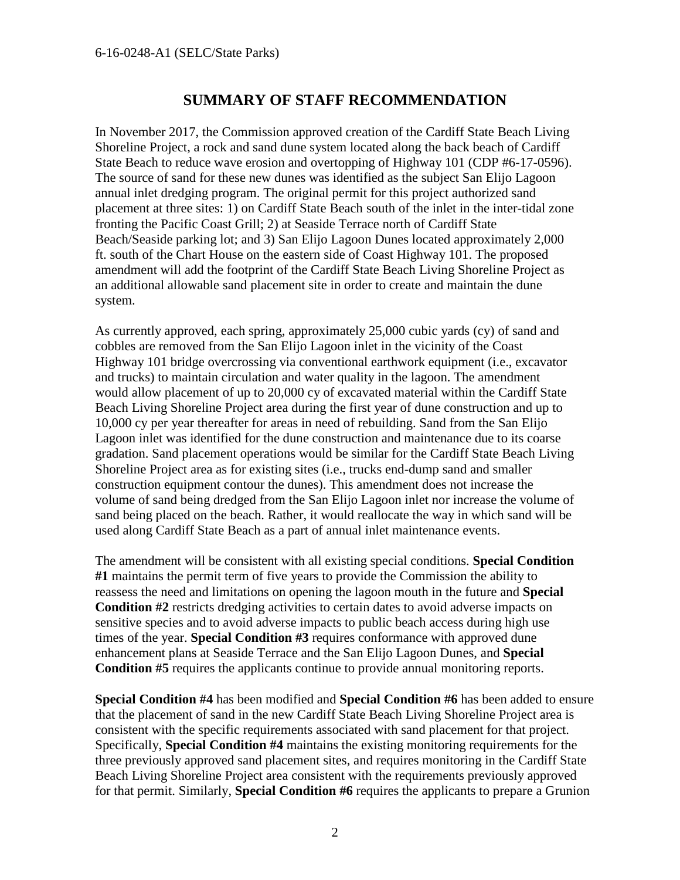## **SUMMARY OF STAFF RECOMMENDATION**

In November 2017, the Commission approved creation of the Cardiff State Beach Living Shoreline Project, a rock and sand dune system located along the back beach of Cardiff State Beach to reduce wave erosion and overtopping of Highway 101 (CDP #6-17-0596). The source of sand for these new dunes was identified as the subject San Elijo Lagoon annual inlet dredging program. The original permit for this project authorized sand placement at three sites: 1) on Cardiff State Beach south of the inlet in the inter-tidal zone fronting the Pacific Coast Grill; 2) at Seaside Terrace north of Cardiff State Beach/Seaside parking lot; and 3) San Elijo Lagoon Dunes located approximately 2,000 ft. south of the Chart House on the eastern side of Coast Highway 101. The proposed amendment will add the footprint of the Cardiff State Beach Living Shoreline Project as an additional allowable sand placement site in order to create and maintain the dune system.

As currently approved, each spring, approximately 25,000 cubic yards (cy) of sand and cobbles are removed from the San Elijo Lagoon inlet in the vicinity of the Coast Highway 101 bridge overcrossing via conventional earthwork equipment (i.e., excavator and trucks) to maintain circulation and water quality in the lagoon. The amendment would allow placement of up to 20,000 cy of excavated material within the Cardiff State Beach Living Shoreline Project area during the first year of dune construction and up to 10,000 cy per year thereafter for areas in need of rebuilding. Sand from the San Elijo Lagoon inlet was identified for the dune construction and maintenance due to its coarse gradation. Sand placement operations would be similar for the Cardiff State Beach Living Shoreline Project area as for existing sites (i.e., trucks end-dump sand and smaller construction equipment contour the dunes). This amendment does not increase the volume of sand being dredged from the San Elijo Lagoon inlet nor increase the volume of sand being placed on the beach. Rather, it would reallocate the way in which sand will be used along Cardiff State Beach as a part of annual inlet maintenance events.

The amendment will be consistent with all existing special conditions. **Special Condition #1** maintains the permit term of five years to provide the Commission the ability to reassess the need and limitations on opening the lagoon mouth in the future and **Special Condition #2** restricts dredging activities to certain dates to avoid adverse impacts on sensitive species and to avoid adverse impacts to public beach access during high use times of the year. **Special Condition #3** requires conformance with approved dune enhancement plans at Seaside Terrace and the San Elijo Lagoon Dunes, and **Special Condition #5** requires the applicants continue to provide annual monitoring reports.

**Special Condition #4** has been modified and **Special Condition #6** has been added to ensure that the placement of sand in the new Cardiff State Beach Living Shoreline Project area is consistent with the specific requirements associated with sand placement for that project. Specifically, **Special Condition #4** maintains the existing monitoring requirements for the three previously approved sand placement sites, and requires monitoring in the Cardiff State Beach Living Shoreline Project area consistent with the requirements previously approved for that permit. Similarly, **Special Condition #6** requires the applicants to prepare a Grunion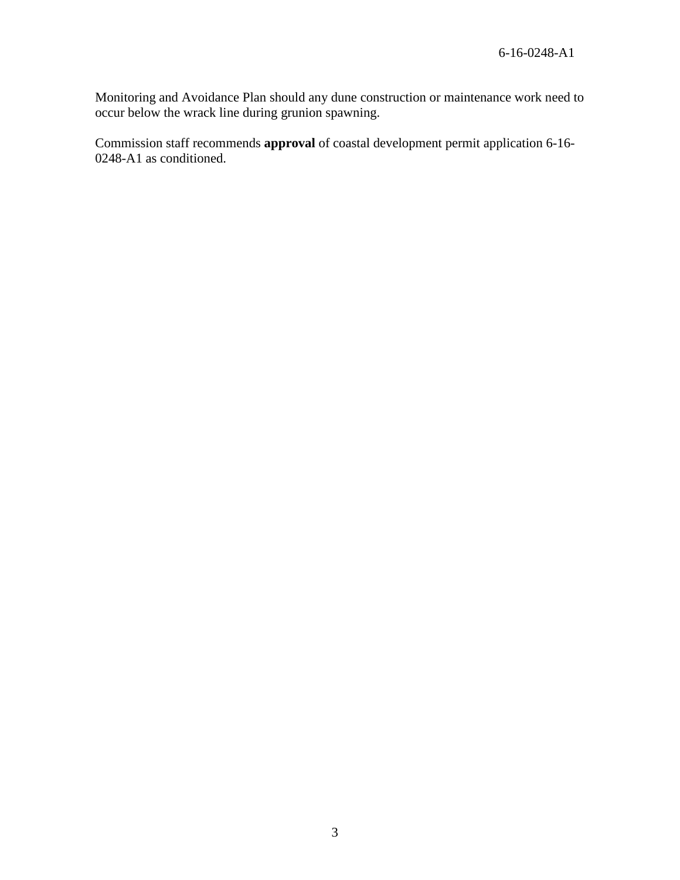Monitoring and Avoidance Plan should any dune construction or maintenance work need to occur below the wrack line during grunion spawning.

Commission staff recommends **approval** of coastal development permit application 6-16- 0248-A1 as conditioned.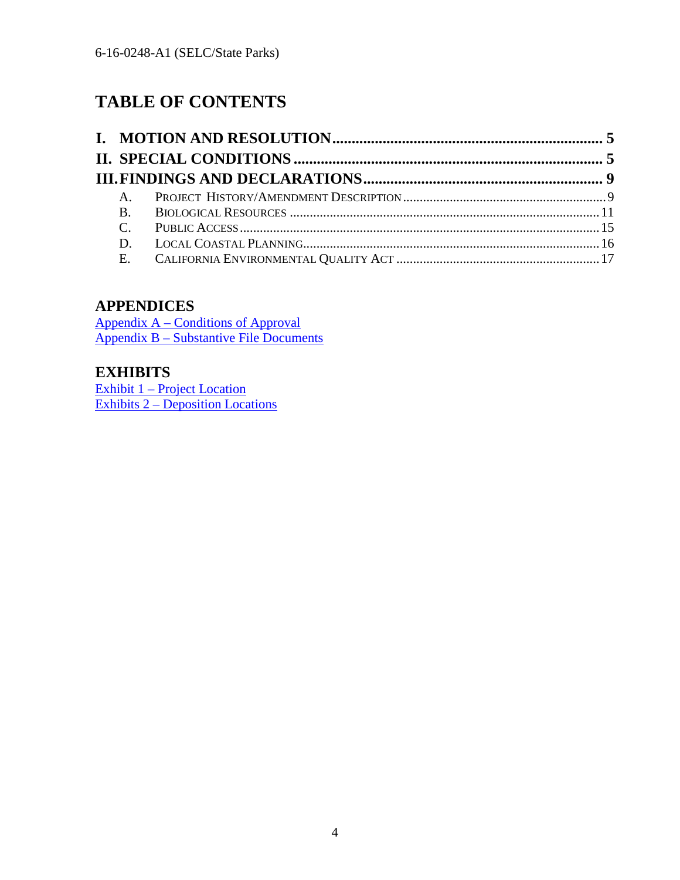# **TABLE OF CONTENTS**

## **APPENDICES**

[Appendix A – Conditions of Approval](#page-17-0) [Appendix B – Substantive File Documents](#page-24-0)

## **EXHIBITS**

[Exhibit 1 – Project Location](https://documents.coastal.ca.gov/reports/2018/TH19a/TH19a--2018-exhibits.pdf) [Exhibits 2 – Deposition Locations](https://documents.coastal.ca.gov/reports/2018/TH19a/TH19a--2018-exhibits.pdf)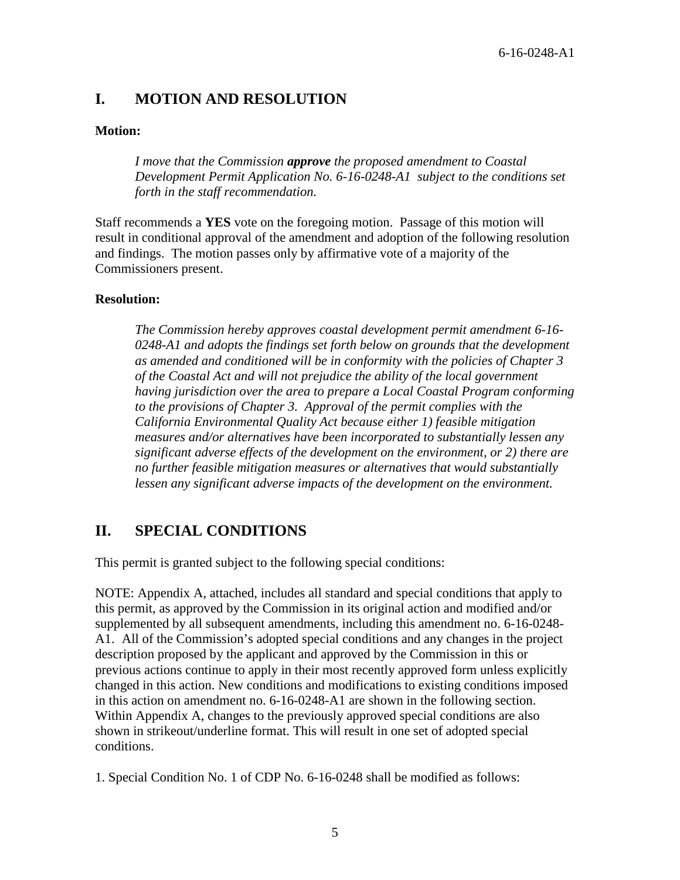## <span id="page-4-0"></span>**I. MOTION AND RESOLUTION**

#### **Motion:**

*I move that the Commission approve the proposed amendment to Coastal Development Permit Application No. 6-16-0248-A1 subject to the conditions set forth in the staff recommendation.* 

Staff recommends a **YES** vote on the foregoing motion. Passage of this motion will result in conditional approval of the amendment and adoption of the following resolution and findings. The motion passes only by affirmative vote of a majority of the Commissioners present.

#### **Resolution:**

*The Commission hereby approves coastal development permit amendment 6-16- 0248-A1 and adopts the findings set forth below on grounds that the development as amended and conditioned will be in conformity with the policies of Chapter 3 of the Coastal Act and will not prejudice the ability of the local government having jurisdiction over the area to prepare a Local Coastal Program conforming to the provisions of Chapter 3. Approval of the permit complies with the California Environmental Quality Act because either 1) feasible mitigation measures and/or alternatives have been incorporated to substantially lessen any significant adverse effects of the development on the environment, or 2) there are no further feasible mitigation measures or alternatives that would substantially lessen any significant adverse impacts of the development on the environment.* 

## <span id="page-4-1"></span>**II. SPECIAL CONDITIONS**

This permit is granted subject to the following special conditions:

NOTE: Appendix A, attached, includes all standard and special conditions that apply to this permit, as approved by the Commission in its original action and modified and/or supplemented by all subsequent amendments, including this amendment no. 6-16-0248- A1. All of the Commission's adopted special conditions and any changes in the project description proposed by the applicant and approved by the Commission in this or previous actions continue to apply in their most recently approved form unless explicitly changed in this action. New conditions and modifications to existing conditions imposed in this action on amendment no. 6-16-0248-A1 are shown in the following section. Within Appendix A, changes to the previously approved special conditions are also shown in strikeout/underline format. This will result in one set of adopted special conditions.

1. Special Condition No. 1 of CDP No. 6-16-0248 shall be modified as follows: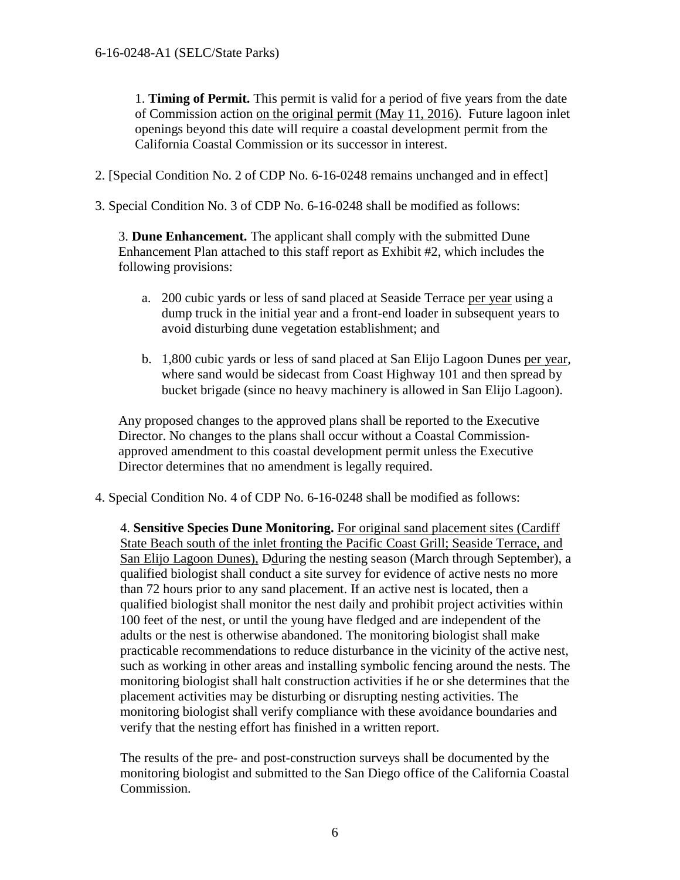1. **Timing of Permit.** This permit is valid for a period of five years from the date of Commission action on the original permit (May 11, 2016). Future lagoon inlet openings beyond this date will require a coastal development permit from the California Coastal Commission or its successor in interest.

2. [Special Condition No. 2 of CDP No. 6-16-0248 remains unchanged and in effect]

3. Special Condition No. 3 of CDP No. 6-16-0248 shall be modified as follows:

3. **Dune Enhancement.** The applicant shall comply with the submitted Dune Enhancement Plan attached to this staff report as Exhibit #2, which includes the following provisions:

- a. 200 cubic yards or less of sand placed at Seaside Terrace per year using a dump truck in the initial year and a front-end loader in subsequent years to avoid disturbing dune vegetation establishment; and
- b. 1,800 cubic yards or less of sand placed at San Elijo Lagoon Dunes per year, where sand would be sidecast from Coast Highway 101 and then spread by bucket brigade (since no heavy machinery is allowed in San Elijo Lagoon).

Any proposed changes to the approved plans shall be reported to the Executive Director. No changes to the plans shall occur without a Coastal Commissionapproved amendment to this coastal development permit unless the Executive Director determines that no amendment is legally required.

4. Special Condition No. 4 of CDP No. 6-16-0248 shall be modified as follows:

4. **Sensitive Species Dune Monitoring.** For original sand placement sites (Cardiff State Beach south of the inlet fronting the Pacific Coast Grill; Seaside Terrace, and San Elijo Lagoon Dunes), Dduring the nesting season (March through September), a qualified biologist shall conduct a site survey for evidence of active nests no more than 72 hours prior to any sand placement. If an active nest is located, then a qualified biologist shall monitor the nest daily and prohibit project activities within 100 feet of the nest, or until the young have fledged and are independent of the adults or the nest is otherwise abandoned. The monitoring biologist shall make practicable recommendations to reduce disturbance in the vicinity of the active nest, such as working in other areas and installing symbolic fencing around the nests. The monitoring biologist shall halt construction activities if he or she determines that the placement activities may be disturbing or disrupting nesting activities. The monitoring biologist shall verify compliance with these avoidance boundaries and verify that the nesting effort has finished in a written report.

The results of the pre- and post-construction surveys shall be documented by the monitoring biologist and submitted to the San Diego office of the California Coastal Commission.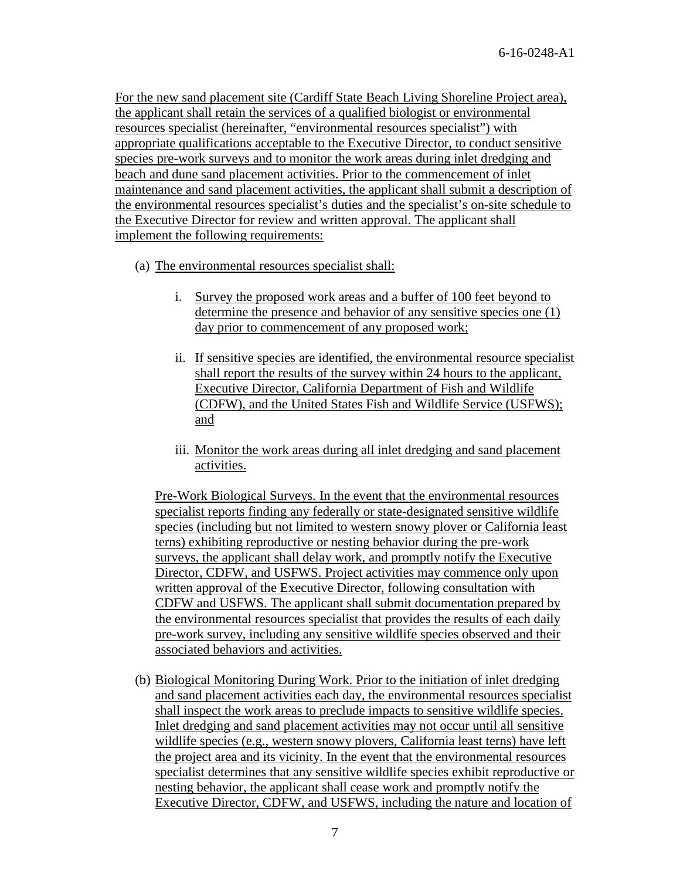For the new sand placement site (Cardiff State Beach Living Shoreline Project area), the applicant shall retain the services of a qualified biologist or environmental resources specialist (hereinafter, "environmental resources specialist") with appropriate qualifications acceptable to the Executive Director, to conduct sensitive species pre-work surveys and to monitor the work areas during inlet dredging and beach and dune sand placement activities. Prior to the commencement of inlet maintenance and sand placement activities, the applicant shall submit a description of the environmental resources specialist's duties and the specialist's on-site schedule to the Executive Director for review and written approval. The applicant shall implement the following requirements:

- (a) The environmental resources specialist shall:
	- i. Survey the proposed work areas and a buffer of 100 feet beyond to determine the presence and behavior of any sensitive species one (1) day prior to commencement of any proposed work;
	- ii. If sensitive species are identified, the environmental resource specialist shall report the results of the survey within 24 hours to the applicant, Executive Director, California Department of Fish and Wildlife (CDFW), and the United States Fish and Wildlife Service (USFWS); and
	- iii. Monitor the work areas during all inlet dredging and sand placement activities.

Pre-Work Biological Surveys. In the event that the environmental resources specialist reports finding any federally or state-designated sensitive wildlife species (including but not limited to western snowy plover or California least terns) exhibiting reproductive or nesting behavior during the pre-work surveys, the applicant shall delay work, and promptly notify the Executive Director, CDFW, and USFWS. Project activities may commence only upon written approval of the Executive Director, following consultation with CDFW and USFWS. The applicant shall submit documentation prepared by the environmental resources specialist that provides the results of each daily pre-work survey, including any sensitive wildlife species observed and their associated behaviors and activities.

(b) Biological Monitoring During Work. Prior to the initiation of inlet dredging and sand placement activities each day, the environmental resources specialist shall inspect the work areas to preclude impacts to sensitive wildlife species. Inlet dredging and sand placement activities may not occur until all sensitive wildlife species (e.g., western snowy plovers, California least terns) have left the project area and its vicinity. In the event that the environmental resources specialist determines that any sensitive wildlife species exhibit reproductive or nesting behavior, the applicant shall cease work and promptly notify the Executive Director, CDFW, and USFWS, including the nature and location of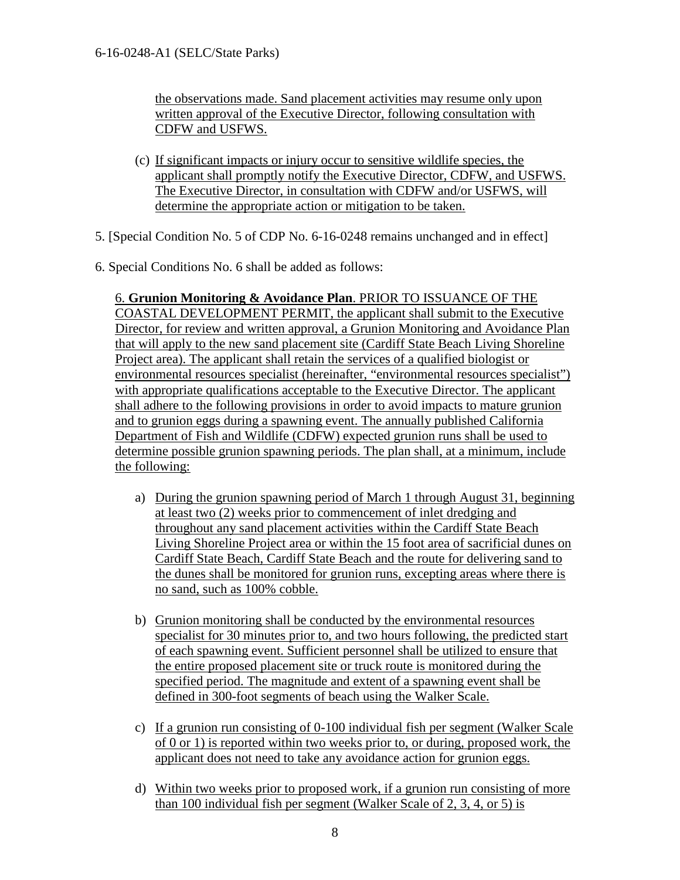the observations made. Sand placement activities may resume only upon written approval of the Executive Director, following consultation with CDFW and USFWS.

- (c) If significant impacts or injury occur to sensitive wildlife species, the applicant shall promptly notify the Executive Director, CDFW, and USFWS. The Executive Director, in consultation with CDFW and/or USFWS, will determine the appropriate action or mitigation to be taken.
- 5. [Special Condition No. 5 of CDP No. 6-16-0248 remains unchanged and in effect]
- 6. Special Conditions No. 6 shall be added as follows:

6. **Grunion Monitoring & Avoidance Plan**. PRIOR TO ISSUANCE OF THE COASTAL DEVELOPMENT PERMIT, the applicant shall submit to the Executive Director, for review and written approval, a Grunion Monitoring and Avoidance Plan that will apply to the new sand placement site (Cardiff State Beach Living Shoreline Project area). The applicant shall retain the services of a qualified biologist or environmental resources specialist (hereinafter, "environmental resources specialist") with appropriate qualifications acceptable to the Executive Director. The applicant shall adhere to the following provisions in order to avoid impacts to mature grunion and to grunion eggs during a spawning event. The annually published California Department of Fish and Wildlife (CDFW) expected grunion runs shall be used to determine possible grunion spawning periods. The plan shall, at a minimum, include the following:

- a) During the grunion spawning period of March 1 through August 31, beginning at least two (2) weeks prior to commencement of inlet dredging and throughout any sand placement activities within the Cardiff State Beach Living Shoreline Project area or within the 15 foot area of sacrificial dunes on Cardiff State Beach, Cardiff State Beach and the route for delivering sand to the dunes shall be monitored for grunion runs, excepting areas where there is no sand, such as 100% cobble.
- b) Grunion monitoring shall be conducted by the environmental resources specialist for 30 minutes prior to, and two hours following, the predicted start of each spawning event. Sufficient personnel shall be utilized to ensure that the entire proposed placement site or truck route is monitored during the specified period. The magnitude and extent of a spawning event shall be defined in 300-foot segments of beach using the Walker Scale.
- c) If a grunion run consisting of 0-100 individual fish per segment (Walker Scale of 0 or 1) is reported within two weeks prior to, or during, proposed work, the applicant does not need to take any avoidance action for grunion eggs.
- d) Within two weeks prior to proposed work, if a grunion run consisting of more than 100 individual fish per segment (Walker Scale of 2, 3, 4, or 5) is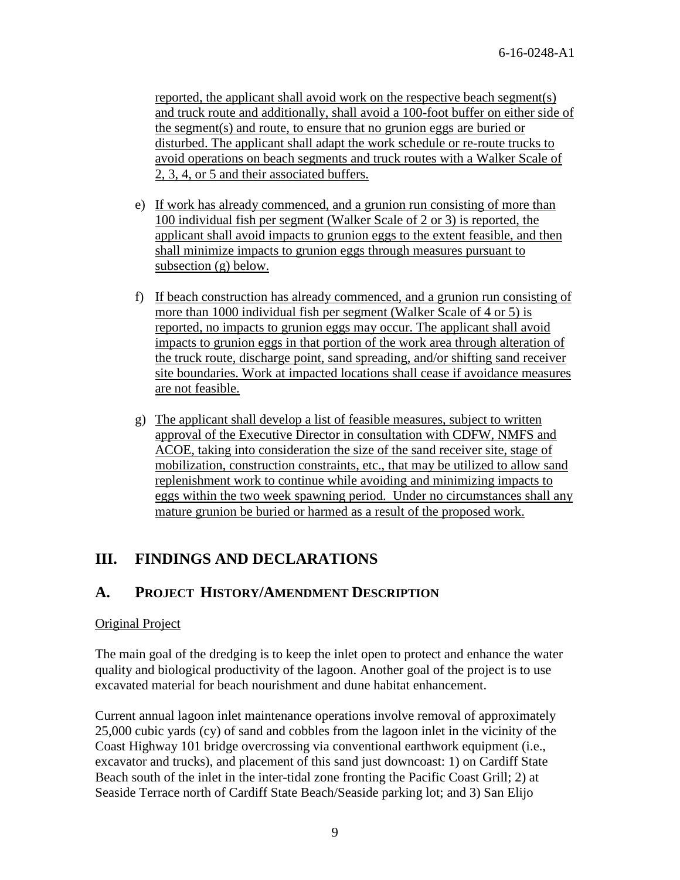reported, the applicant shall avoid work on the respective beach segment(s) and truck route and additionally, shall avoid a 100-foot buffer on either side of the segment(s) and route, to ensure that no grunion eggs are buried or disturbed. The applicant shall adapt the work schedule or re-route trucks to avoid operations on beach segments and truck routes with a Walker Scale of 2, 3, 4, or 5 and their associated buffers.

- e) If work has already commenced, and a grunion run consisting of more than 100 individual fish per segment (Walker Scale of 2 or 3) is reported, the applicant shall avoid impacts to grunion eggs to the extent feasible, and then shall minimize impacts to grunion eggs through measures pursuant to subsection (g) below.
- f) If beach construction has already commenced, and a grunion run consisting of more than 1000 individual fish per segment (Walker Scale of 4 or 5) is reported, no impacts to grunion eggs may occur. The applicant shall avoid impacts to grunion eggs in that portion of the work area through alteration of the truck route, discharge point, sand spreading, and/or shifting sand receiver site boundaries. Work at impacted locations shall cease if avoidance measures are not feasible.
- g) The applicant shall develop a list of feasible measures, subject to written approval of the Executive Director in consultation with CDFW, NMFS and ACOE, taking into consideration the size of the sand receiver site, stage of mobilization, construction constraints, etc., that may be utilized to allow sand replenishment work to continue while avoiding and minimizing impacts to eggs within the two week spawning period. Under no circumstances shall any mature grunion be buried or harmed as a result of the proposed work.

## <span id="page-8-0"></span>**III. FINDINGS AND DECLARATIONS**

## <span id="page-8-1"></span>**A. PROJECT HISTORY/AMENDMENT DESCRIPTION**

#### Original Project

The main goal of the dredging is to keep the inlet open to protect and enhance the water quality and biological productivity of the lagoon. Another goal of the project is to use excavated material for beach nourishment and dune habitat enhancement.

Current annual lagoon inlet maintenance operations involve removal of approximately 25,000 cubic yards (cy) of sand and cobbles from the lagoon inlet in the vicinity of the Coast Highway 101 bridge overcrossing via conventional earthwork equipment (i.e., excavator and trucks), and placement of this sand just downcoast: 1) on Cardiff State Beach south of the inlet in the inter-tidal zone fronting the Pacific Coast Grill; 2) at Seaside Terrace north of Cardiff State Beach/Seaside parking lot; and 3) San Elijo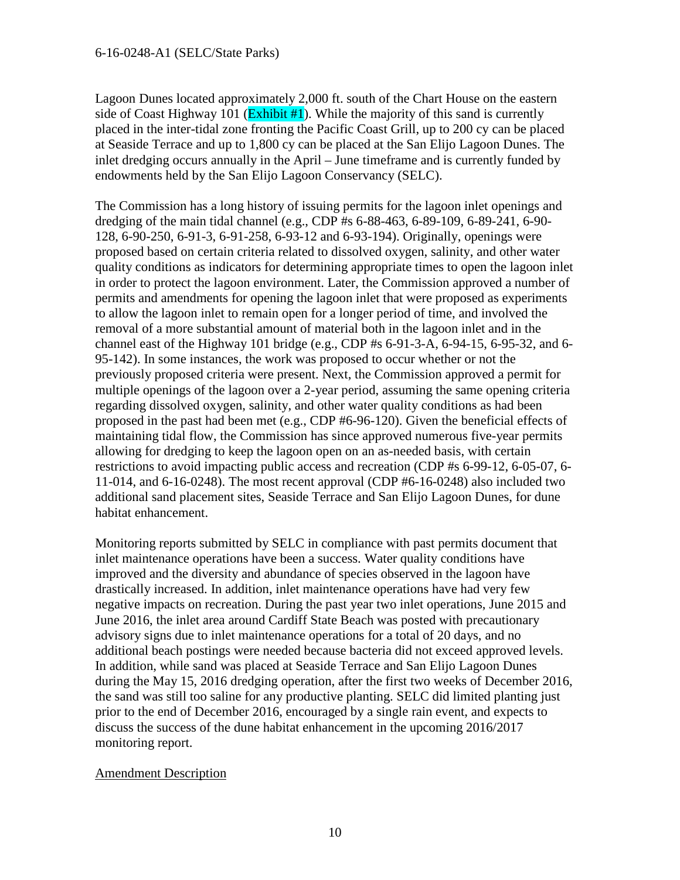Lagoon Dunes located approximately 2,000 ft. south of the Chart House on the eastern side of Coast Highway 101 ( $\overline{\text{Exhibit #1}}$ ). While the majority of this sand is currently placed in the inter-tidal zone fronting the Pacific Coast Grill, up to 200 cy can be placed at Seaside Terrace and up to 1,800 cy can be placed at the San Elijo Lagoon Dunes. The inlet dredging occurs annually in the April – June timeframe and is currently funded by endowments held by the San Elijo Lagoon Conservancy (SELC).

The Commission has a long history of issuing permits for the lagoon inlet openings and dredging of the main tidal channel (e.g., CDP #s 6-88-463, 6-89-109, 6-89-241, 6-90- 128, 6-90-250, 6-91-3, 6-91-258, 6-93-12 and 6-93-194). Originally, openings were proposed based on certain criteria related to dissolved oxygen, salinity, and other water quality conditions as indicators for determining appropriate times to open the lagoon inlet in order to protect the lagoon environment. Later, the Commission approved a number of permits and amendments for opening the lagoon inlet that were proposed as experiments to allow the lagoon inlet to remain open for a longer period of time, and involved the removal of a more substantial amount of material both in the lagoon inlet and in the channel east of the Highway 101 bridge (e.g., CDP #s 6-91-3-A, 6-94-15, 6-95-32, and 6- 95-142). In some instances, the work was proposed to occur whether or not the previously proposed criteria were present. Next, the Commission approved a permit for multiple openings of the lagoon over a 2-year period, assuming the same opening criteria regarding dissolved oxygen, salinity, and other water quality conditions as had been proposed in the past had been met (e.g., CDP #6-96-120). Given the beneficial effects of maintaining tidal flow, the Commission has since approved numerous five-year permits allowing for dredging to keep the lagoon open on an as-needed basis, with certain restrictions to avoid impacting public access and recreation (CDP #s 6-99-12, 6-05-07, 6- 11-014, and 6-16-0248). The most recent approval (CDP #6-16-0248) also included two additional sand placement sites, Seaside Terrace and San Elijo Lagoon Dunes, for dune habitat enhancement.

Monitoring reports submitted by SELC in compliance with past permits document that inlet maintenance operations have been a success. Water quality conditions have improved and the diversity and abundance of species observed in the lagoon have drastically increased. In addition, inlet maintenance operations have had very few negative impacts on recreation. During the past year two inlet operations, June 2015 and June 2016, the inlet area around Cardiff State Beach was posted with precautionary advisory signs due to inlet maintenance operations for a total of 20 days, and no additional beach postings were needed because bacteria did not exceed approved levels. In addition, while sand was placed at Seaside Terrace and San Elijo Lagoon Dunes during the May 15, 2016 dredging operation, after the first two weeks of December 2016, the sand was still too saline for any productive planting. SELC did limited planting just prior to the end of December 2016, encouraged by a single rain event, and expects to discuss the success of the dune habitat enhancement in the upcoming 2016/2017 monitoring report.

#### Amendment Description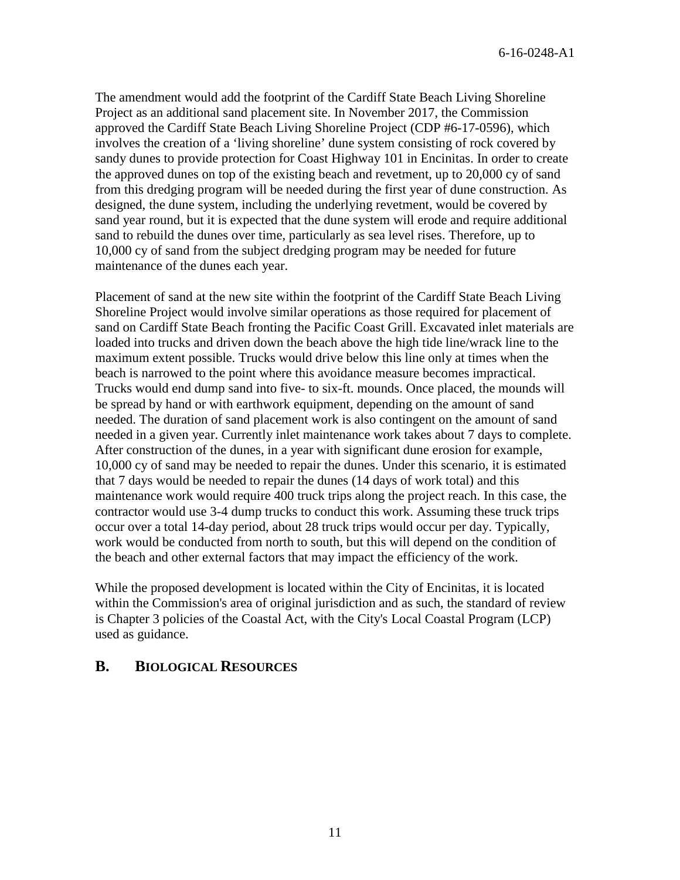6-16-0248-A1

The amendment would add the footprint of the Cardiff State Beach Living Shoreline Project as an additional sand placement site. In November 2017, the Commission approved the Cardiff State Beach Living Shoreline Project (CDP #6-17-0596), which involves the creation of a 'living shoreline' dune system consisting of rock covered by sandy dunes to provide protection for Coast Highway 101 in Encinitas. In order to create the approved dunes on top of the existing beach and revetment, up to 20,000 cy of sand from this dredging program will be needed during the first year of dune construction. As designed, the dune system, including the underlying revetment, would be covered by sand year round, but it is expected that the dune system will erode and require additional sand to rebuild the dunes over time, particularly as sea level rises. Therefore, up to 10,000 cy of sand from the subject dredging program may be needed for future maintenance of the dunes each year.

Placement of sand at the new site within the footprint of the Cardiff State Beach Living Shoreline Project would involve similar operations as those required for placement of sand on Cardiff State Beach fronting the Pacific Coast Grill. Excavated inlet materials are loaded into trucks and driven down the beach above the high tide line/wrack line to the maximum extent possible. Trucks would drive below this line only at times when the beach is narrowed to the point where this avoidance measure becomes impractical. Trucks would end dump sand into five- to six-ft. mounds. Once placed, the mounds will be spread by hand or with earthwork equipment, depending on the amount of sand needed. The duration of sand placement work is also contingent on the amount of sand needed in a given year. Currently inlet maintenance work takes about 7 days to complete. After construction of the dunes, in a year with significant dune erosion for example, 10,000 cy of sand may be needed to repair the dunes. Under this scenario, it is estimated that 7 days would be needed to repair the dunes (14 days of work total) and this maintenance work would require 400 truck trips along the project reach. In this case, the contractor would use 3-4 dump trucks to conduct this work. Assuming these truck trips occur over a total 14-day period, about 28 truck trips would occur per day. Typically, work would be conducted from north to south, but this will depend on the condition of the beach and other external factors that may impact the efficiency of the work.

While the proposed development is located within the City of Encinitas, it is located within the Commission's area of original jurisdiction and as such, the standard of review is Chapter 3 policies of the Coastal Act, with the City's Local Coastal Program (LCP) used as guidance.

#### <span id="page-10-0"></span>**B. BIOLOGICAL RESOURCES**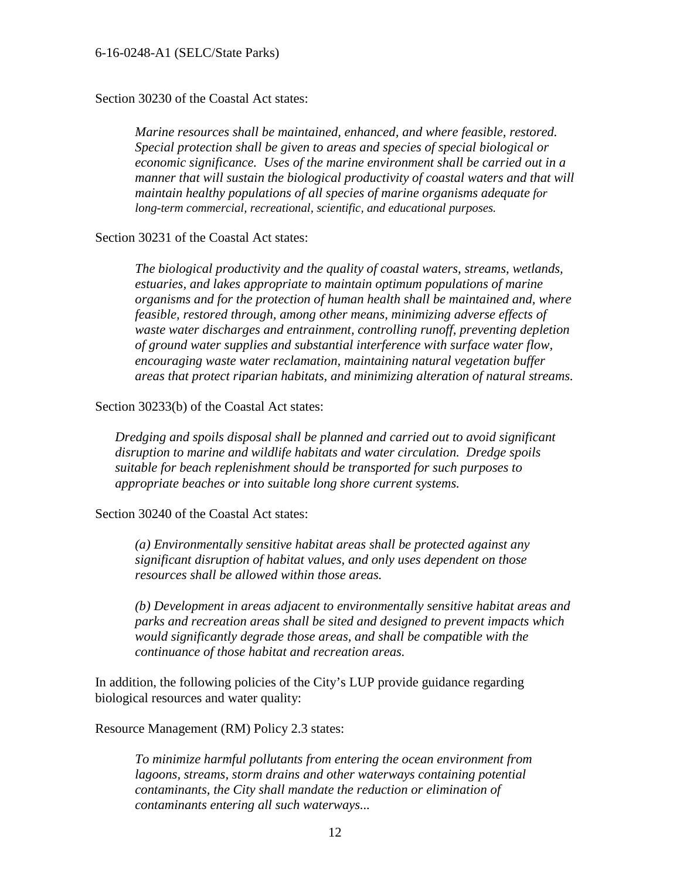#### 6-16-0248-A1 (SELC/State Parks)

Section 30230 of the Coastal Act states:

*Marine resources shall be maintained, enhanced, and where feasible, restored. Special protection shall be given to areas and species of special biological or economic significance. Uses of the marine environment shall be carried out in a manner that will sustain the biological productivity of coastal waters and that will maintain healthy populations of all species of marine organisms adequate for long-term commercial, recreational, scientific, and educational purposes.*

Section 30231 of the Coastal Act states:

*The biological productivity and the quality of coastal waters, streams, wetlands, estuaries, and lakes appropriate to maintain optimum populations of marine organisms and for the protection of human health shall be maintained and, where feasible, restored through, among other means, minimizing adverse effects of waste water discharges and entrainment, controlling runoff, preventing depletion of ground water supplies and substantial interference with surface water flow, encouraging waste water reclamation, maintaining natural vegetation buffer areas that protect riparian habitats, and minimizing alteration of natural streams.* 

Section 30233(b) of the Coastal Act states:

*Dredging and spoils disposal shall be planned and carried out to avoid significant disruption to marine and wildlife habitats and water circulation. Dredge spoils suitable for beach replenishment should be transported for such purposes to appropriate beaches or into suitable long shore current systems.* 

Section 30240 of the Coastal Act states:

*(a) Environmentally sensitive habitat areas shall be protected against any significant disruption of habitat values, and only uses dependent on those resources shall be allowed within those areas.* 

*(b) Development in areas adjacent to environmentally sensitive habitat areas and parks and recreation areas shall be sited and designed to prevent impacts which would significantly degrade those areas, and shall be compatible with the continuance of those habitat and recreation areas.* 

In addition, the following policies of the City's LUP provide guidance regarding biological resources and water quality:

Resource Management (RM) Policy 2.3 states:

*To minimize harmful pollutants from entering the ocean environment from lagoons, streams, storm drains and other waterways containing potential contaminants, the City shall mandate the reduction or elimination of contaminants entering all such waterways...*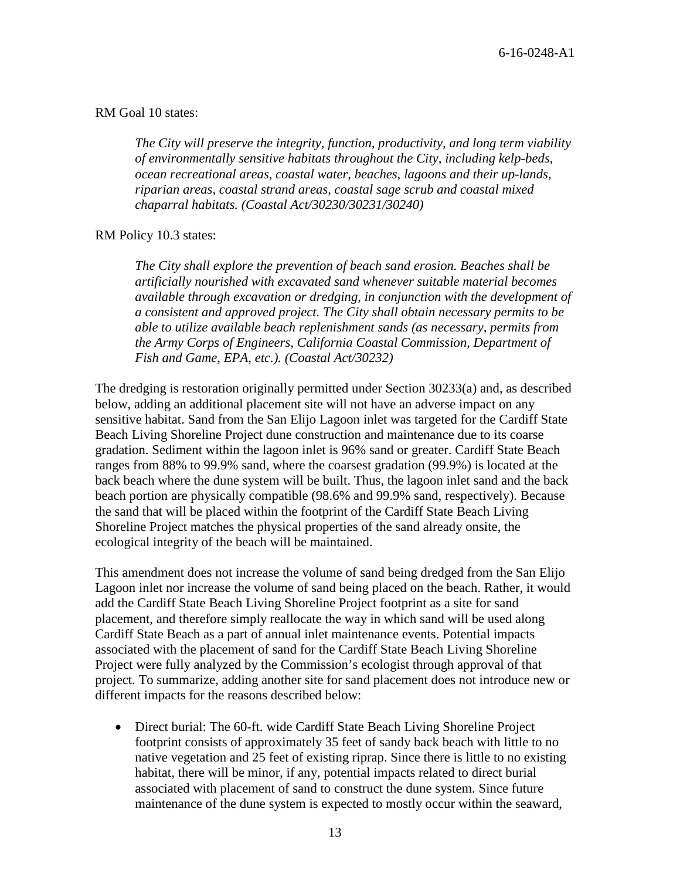#### RM Goal 10 states:

*The City will preserve the integrity, function, productivity, and long term viability of environmentally sensitive habitats throughout the City, including kelp-beds, ocean recreational areas, coastal water, beaches, lagoons and their up-lands, riparian areas, coastal strand areas, coastal sage scrub and coastal mixed chaparral habitats. (Coastal Act/30230/30231/30240)* 

#### RM Policy 10.3 states:

*The City shall explore the prevention of beach sand erosion. Beaches shall be artificially nourished with excavated sand whenever suitable material becomes available through excavation or dredging, in conjunction with the development of a consistent and approved project. The City shall obtain necessary permits to be able to utilize available beach replenishment sands (as necessary, permits from the Army Corps of Engineers, California Coastal Commission, Department of Fish and Game, EPA, etc.). (Coastal Act/30232)* 

The dredging is restoration originally permitted under Section 30233(a) and, as described below, adding an additional placement site will not have an adverse impact on any sensitive habitat. Sand from the San Elijo Lagoon inlet was targeted for the Cardiff State Beach Living Shoreline Project dune construction and maintenance due to its coarse gradation. Sediment within the lagoon inlet is 96% sand or greater. Cardiff State Beach ranges from 88% to 99.9% sand, where the coarsest gradation (99.9%) is located at the back beach where the dune system will be built. Thus, the lagoon inlet sand and the back beach portion are physically compatible (98.6% and 99.9% sand, respectively). Because the sand that will be placed within the footprint of the Cardiff State Beach Living Shoreline Project matches the physical properties of the sand already onsite, the ecological integrity of the beach will be maintained.

This amendment does not increase the volume of sand being dredged from the San Elijo Lagoon inlet nor increase the volume of sand being placed on the beach. Rather, it would add the Cardiff State Beach Living Shoreline Project footprint as a site for sand placement, and therefore simply reallocate the way in which sand will be used along Cardiff State Beach as a part of annual inlet maintenance events. Potential impacts associated with the placement of sand for the Cardiff State Beach Living Shoreline Project were fully analyzed by the Commission's ecologist through approval of that project. To summarize, adding another site for sand placement does not introduce new or different impacts for the reasons described below:

• Direct burial: The 60-ft. wide Cardiff State Beach Living Shoreline Project footprint consists of approximately 35 feet of sandy back beach with little to no native vegetation and 25 feet of existing riprap. Since there is little to no existing habitat, there will be minor, if any, potential impacts related to direct burial associated with placement of sand to construct the dune system. Since future maintenance of the dune system is expected to mostly occur within the seaward,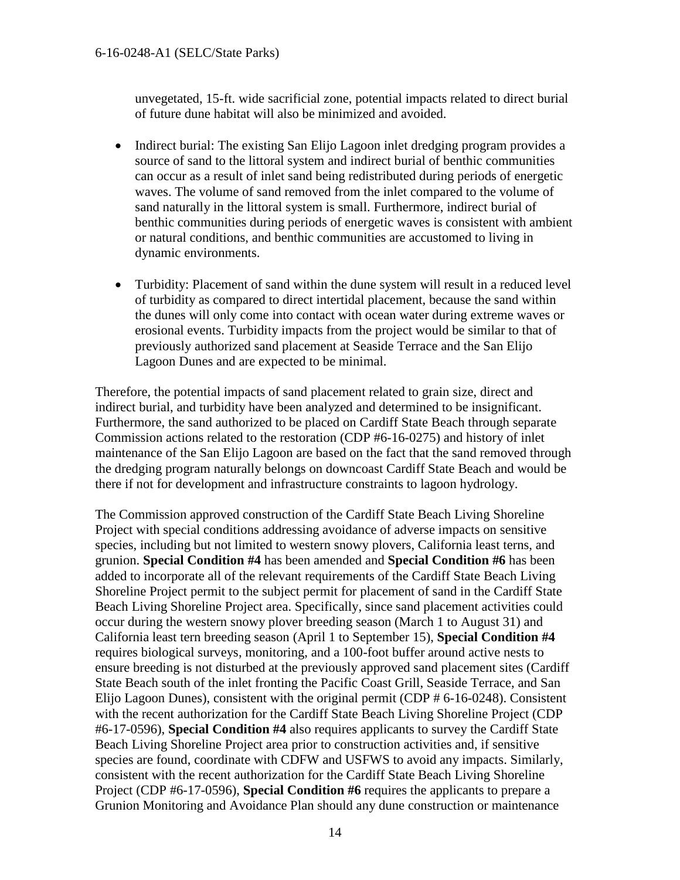unvegetated, 15-ft. wide sacrificial zone, potential impacts related to direct burial of future dune habitat will also be minimized and avoided.

- Indirect burial: The existing San Elijo Lagoon inlet dredging program provides a source of sand to the littoral system and indirect burial of benthic communities can occur as a result of inlet sand being redistributed during periods of energetic waves. The volume of sand removed from the inlet compared to the volume of sand naturally in the littoral system is small. Furthermore, indirect burial of benthic communities during periods of energetic waves is consistent with ambient or natural conditions, and benthic communities are accustomed to living in dynamic environments.
- Turbidity: Placement of sand within the dune system will result in a reduced level of turbidity as compared to direct intertidal placement, because the sand within the dunes will only come into contact with ocean water during extreme waves or erosional events. Turbidity impacts from the project would be similar to that of previously authorized sand placement at Seaside Terrace and the San Elijo Lagoon Dunes and are expected to be minimal.

Therefore, the potential impacts of sand placement related to grain size, direct and indirect burial, and turbidity have been analyzed and determined to be insignificant. Furthermore, the sand authorized to be placed on Cardiff State Beach through separate Commission actions related to the restoration (CDP #6-16-0275) and history of inlet maintenance of the San Elijo Lagoon are based on the fact that the sand removed through the dredging program naturally belongs on downcoast Cardiff State Beach and would be there if not for development and infrastructure constraints to lagoon hydrology.

The Commission approved construction of the Cardiff State Beach Living Shoreline Project with special conditions addressing avoidance of adverse impacts on sensitive species, including but not limited to western snowy plovers, California least terns, and grunion. **Special Condition #4** has been amended and **Special Condition #6** has been added to incorporate all of the relevant requirements of the Cardiff State Beach Living Shoreline Project permit to the subject permit for placement of sand in the Cardiff State Beach Living Shoreline Project area. Specifically, since sand placement activities could occur during the western snowy plover breeding season (March 1 to August 31) and California least tern breeding season (April 1 to September 15), **Special Condition #4** requires biological surveys, monitoring, and a 100-foot buffer around active nests to ensure breeding is not disturbed at the previously approved sand placement sites (Cardiff State Beach south of the inlet fronting the Pacific Coast Grill, Seaside Terrace, and San Elijo Lagoon Dunes), consistent with the original permit (CDP # 6-16-0248). Consistent with the recent authorization for the Cardiff State Beach Living Shoreline Project (CDP #6-17-0596), **Special Condition #4** also requires applicants to survey the Cardiff State Beach Living Shoreline Project area prior to construction activities and, if sensitive species are found, coordinate with CDFW and USFWS to avoid any impacts. Similarly, consistent with the recent authorization for the Cardiff State Beach Living Shoreline Project (CDP #6-17-0596), **Special Condition #6** requires the applicants to prepare a Grunion Monitoring and Avoidance Plan should any dune construction or maintenance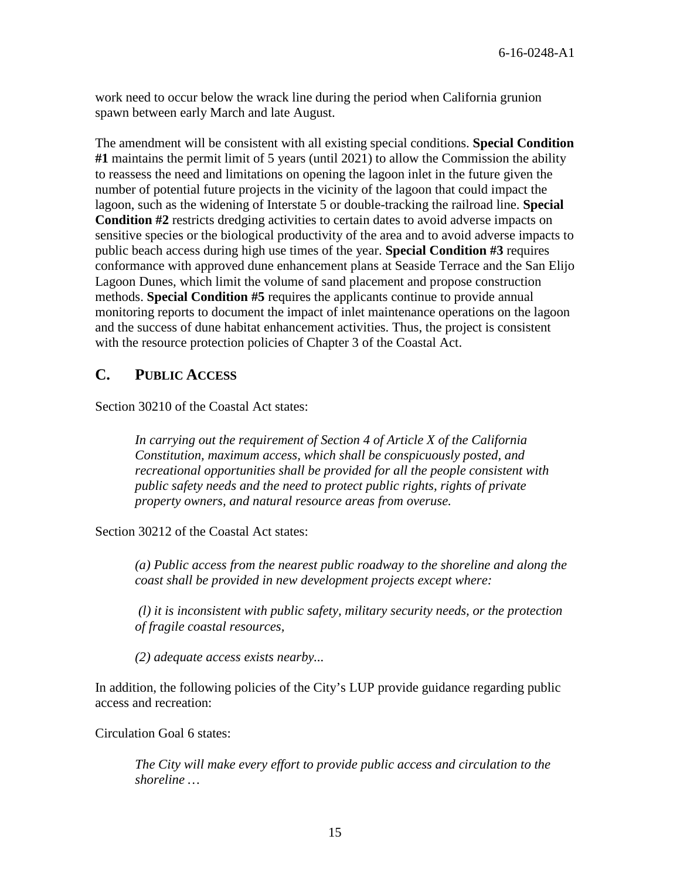work need to occur below the wrack line during the period when California grunion spawn between early March and late August.

The amendment will be consistent with all existing special conditions. **Special Condition #1** maintains the permit limit of 5 years (until 2021) to allow the Commission the ability to reassess the need and limitations on opening the lagoon inlet in the future given the number of potential future projects in the vicinity of the lagoon that could impact the lagoon, such as the widening of Interstate 5 or double-tracking the railroad line. **Special Condition #2** restricts dredging activities to certain dates to avoid adverse impacts on sensitive species or the biological productivity of the area and to avoid adverse impacts to public beach access during high use times of the year. **Special Condition #3** requires conformance with approved dune enhancement plans at Seaside Terrace and the San Elijo Lagoon Dunes, which limit the volume of sand placement and propose construction methods. **Special Condition #5** requires the applicants continue to provide annual monitoring reports to document the impact of inlet maintenance operations on the lagoon and the success of dune habitat enhancement activities. Thus, the project is consistent with the resource protection policies of Chapter 3 of the Coastal Act.

## <span id="page-14-0"></span>**C. PUBLIC ACCESS**

Section 30210 of the Coastal Act states:

*In carrying out the requirement of Section 4 of Article X of the California Constitution, maximum access, which shall be conspicuously posted, and recreational opportunities shall be provided for all the people consistent with public safety needs and the need to protect public rights, rights of private property owners, and natural resource areas from overuse.* 

Section 30212 of the Coastal Act states:

*(a) Public access from the nearest public roadway to the shoreline and along the coast shall be provided in new development projects except where:* 

*(l) it is inconsistent with public safety, military security needs, or the protection of fragile coastal resources,*

*(2) adequate access exists nearby...* 

In addition, the following policies of the City's LUP provide guidance regarding public access and recreation:

Circulation Goal 6 states:

*The City will make every effort to provide public access and circulation to the shoreline …*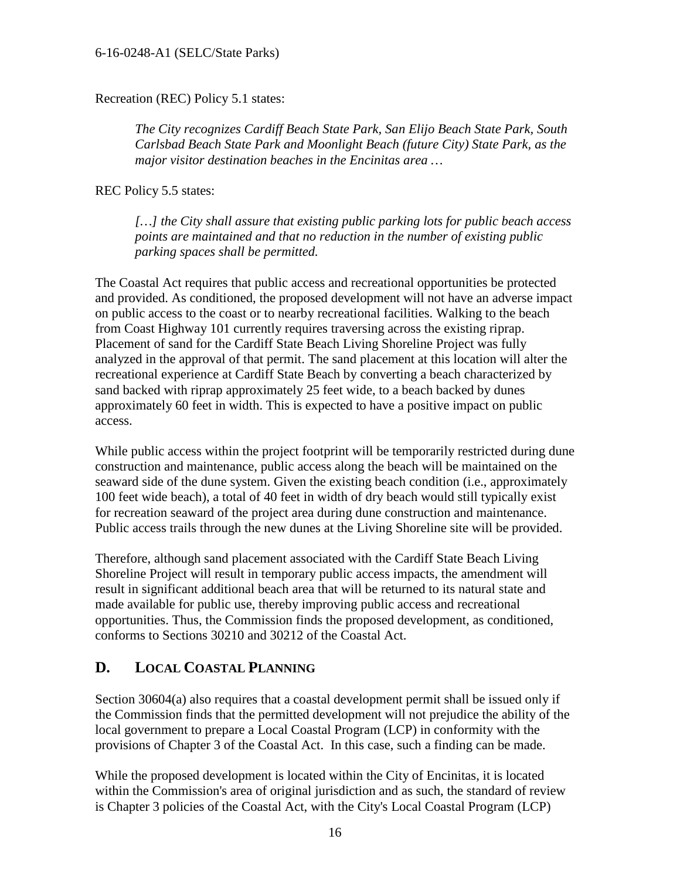#### Recreation (REC) Policy 5.1 states:

*The City recognizes Cardiff Beach State Park, San Elijo Beach State Park, South Carlsbad Beach State Park and Moonlight Beach (future City) State Park, as the major visitor destination beaches in the Encinitas area …* 

REC Policy 5.5 states:

*[…] the City shall assure that existing public parking lots for public beach access points are maintained and that no reduction in the number of existing public parking spaces shall be permitted.* 

The Coastal Act requires that public access and recreational opportunities be protected and provided. As conditioned, the proposed development will not have an adverse impact on public access to the coast or to nearby recreational facilities. Walking to the beach from Coast Highway 101 currently requires traversing across the existing riprap. Placement of sand for the Cardiff State Beach Living Shoreline Project was fully analyzed in the approval of that permit. The sand placement at this location will alter the recreational experience at Cardiff State Beach by converting a beach characterized by sand backed with riprap approximately 25 feet wide, to a beach backed by dunes approximately 60 feet in width. This is expected to have a positive impact on public access.

While public access within the project footprint will be temporarily restricted during dune construction and maintenance, public access along the beach will be maintained on the seaward side of the dune system. Given the existing beach condition (i.e., approximately 100 feet wide beach), a total of 40 feet in width of dry beach would still typically exist for recreation seaward of the project area during dune construction and maintenance. Public access trails through the new dunes at the Living Shoreline site will be provided.

Therefore, although sand placement associated with the Cardiff State Beach Living Shoreline Project will result in temporary public access impacts, the amendment will result in significant additional beach area that will be returned to its natural state and made available for public use, thereby improving public access and recreational opportunities. Thus, the Commission finds the proposed development, as conditioned, conforms to Sections 30210 and 30212 of the Coastal Act.

## <span id="page-15-0"></span>**D. LOCAL COASTAL PLANNING**

Section 30604(a) also requires that a coastal development permit shall be issued only if the Commission finds that the permitted development will not prejudice the ability of the local government to prepare a Local Coastal Program (LCP) in conformity with the provisions of Chapter 3 of the Coastal Act. In this case, such a finding can be made.

While the proposed development is located within the City of Encinitas, it is located within the Commission's area of original jurisdiction and as such, the standard of review is Chapter 3 policies of the Coastal Act, with the City's Local Coastal Program (LCP)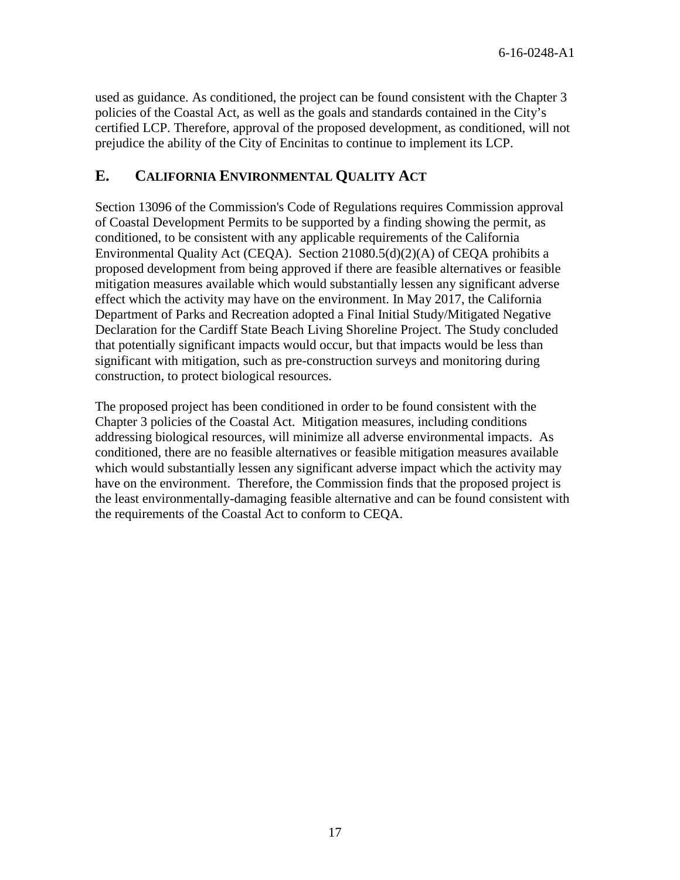used as guidance. As conditioned, the project can be found consistent with the Chapter 3 policies of the Coastal Act, as well as the goals and standards contained in the City's certified LCP. Therefore, approval of the proposed development, as conditioned, will not prejudice the ability of the City of Encinitas to continue to implement its LCP.

## <span id="page-16-0"></span>**E. CALIFORNIA ENVIRONMENTAL QUALITY ACT**

Section 13096 of the Commission's Code of Regulations requires Commission approval of Coastal Development Permits to be supported by a finding showing the permit, as conditioned, to be consistent with any applicable requirements of the California Environmental Quality Act (CEQA). Section 21080.5(d)(2)(A) of CEQA prohibits a proposed development from being approved if there are feasible alternatives or feasible mitigation measures available which would substantially lessen any significant adverse effect which the activity may have on the environment. In May 2017, the California Department of Parks and Recreation adopted a Final Initial Study/Mitigated Negative Declaration for the Cardiff State Beach Living Shoreline Project. The Study concluded that potentially significant impacts would occur, but that impacts would be less than significant with mitigation, such as pre-construction surveys and monitoring during construction, to protect biological resources.

The proposed project has been conditioned in order to be found consistent with the Chapter 3 policies of the Coastal Act. Mitigation measures, including conditions addressing biological resources, will minimize all adverse environmental impacts. As conditioned, there are no feasible alternatives or feasible mitigation measures available which would substantially lessen any significant adverse impact which the activity may have on the environment. Therefore, the Commission finds that the proposed project is the least environmentally-damaging feasible alternative and can be found consistent with the requirements of the Coastal Act to conform to CEQA.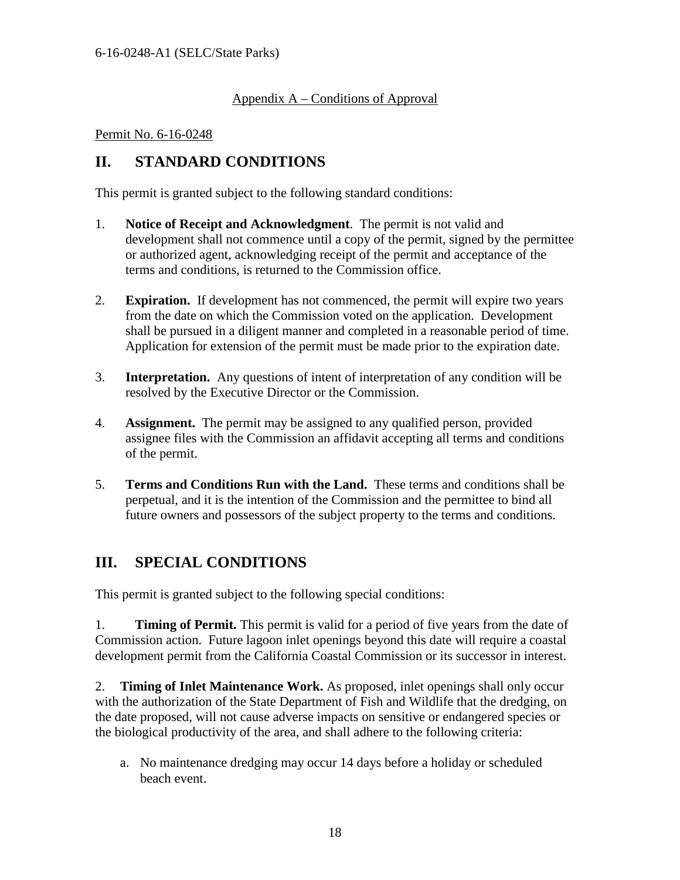### <span id="page-17-0"></span>Appendix A – Conditions of Approval

#### Permit No. 6-16-0248

## **II. STANDARD CONDITIONS**

This permit is granted subject to the following standard conditions:

- 1. **Notice of Receipt and Acknowledgment**. The permit is not valid and development shall not commence until a copy of the permit, signed by the permittee or authorized agent, acknowledging receipt of the permit and acceptance of the terms and conditions, is returned to the Commission office.
- 2. **Expiration.** If development has not commenced, the permit will expire two years from the date on which the Commission voted on the application. Development shall be pursued in a diligent manner and completed in a reasonable period of time. Application for extension of the permit must be made prior to the expiration date.
- 3. **Interpretation.** Any questions of intent of interpretation of any condition will be resolved by the Executive Director or the Commission.
- 4. **Assignment.** The permit may be assigned to any qualified person, provided assignee files with the Commission an affidavit accepting all terms and conditions of the permit.
- 5. **Terms and Conditions Run with the Land.** These terms and conditions shall be perpetual, and it is the intention of the Commission and the permittee to bind all future owners and possessors of the subject property to the terms and conditions.

## **III. SPECIAL CONDITIONS**

This permit is granted subject to the following special conditions:

1. **Timing of Permit.** This permit is valid for a period of five years from the date of Commission action. Future lagoon inlet openings beyond this date will require a coastal development permit from the California Coastal Commission or its successor in interest.

2. **Timing of Inlet Maintenance Work.** As proposed, inlet openings shall only occur with the authorization of the State Department of Fish and Wildlife that the dredging, on the date proposed, will not cause adverse impacts on sensitive or endangered species or the biological productivity of the area, and shall adhere to the following criteria:

a. No maintenance dredging may occur 14 days before a holiday or scheduled beach event.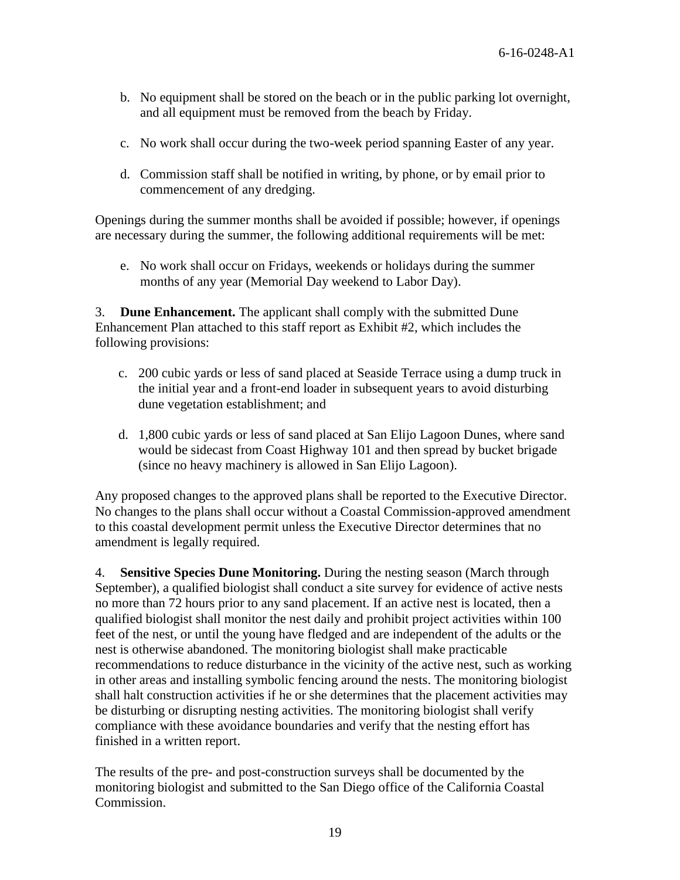- b. No equipment shall be stored on the beach or in the public parking lot overnight, and all equipment must be removed from the beach by Friday.
- c. No work shall occur during the two-week period spanning Easter of any year.
- d. Commission staff shall be notified in writing, by phone, or by email prior to commencement of any dredging.

Openings during the summer months shall be avoided if possible; however, if openings are necessary during the summer, the following additional requirements will be met:

e. No work shall occur on Fridays, weekends or holidays during the summer months of any year (Memorial Day weekend to Labor Day).

3. **Dune Enhancement.** The applicant shall comply with the submitted Dune Enhancement Plan attached to this staff report as Exhibit #2, which includes the following provisions:

- c. 200 cubic yards or less of sand placed at Seaside Terrace using a dump truck in the initial year and a front-end loader in subsequent years to avoid disturbing dune vegetation establishment; and
- d. 1,800 cubic yards or less of sand placed at San Elijo Lagoon Dunes, where sand would be sidecast from Coast Highway 101 and then spread by bucket brigade (since no heavy machinery is allowed in San Elijo Lagoon).

Any proposed changes to the approved plans shall be reported to the Executive Director. No changes to the plans shall occur without a Coastal Commission-approved amendment to this coastal development permit unless the Executive Director determines that no amendment is legally required.

4. **Sensitive Species Dune Monitoring.** During the nesting season (March through September), a qualified biologist shall conduct a site survey for evidence of active nests no more than 72 hours prior to any sand placement. If an active nest is located, then a qualified biologist shall monitor the nest daily and prohibit project activities within 100 feet of the nest, or until the young have fledged and are independent of the adults or the nest is otherwise abandoned. The monitoring biologist shall make practicable recommendations to reduce disturbance in the vicinity of the active nest, such as working in other areas and installing symbolic fencing around the nests. The monitoring biologist shall halt construction activities if he or she determines that the placement activities may be disturbing or disrupting nesting activities. The monitoring biologist shall verify compliance with these avoidance boundaries and verify that the nesting effort has finished in a written report.

The results of the pre- and post-construction surveys shall be documented by the monitoring biologist and submitted to the San Diego office of the California Coastal Commission.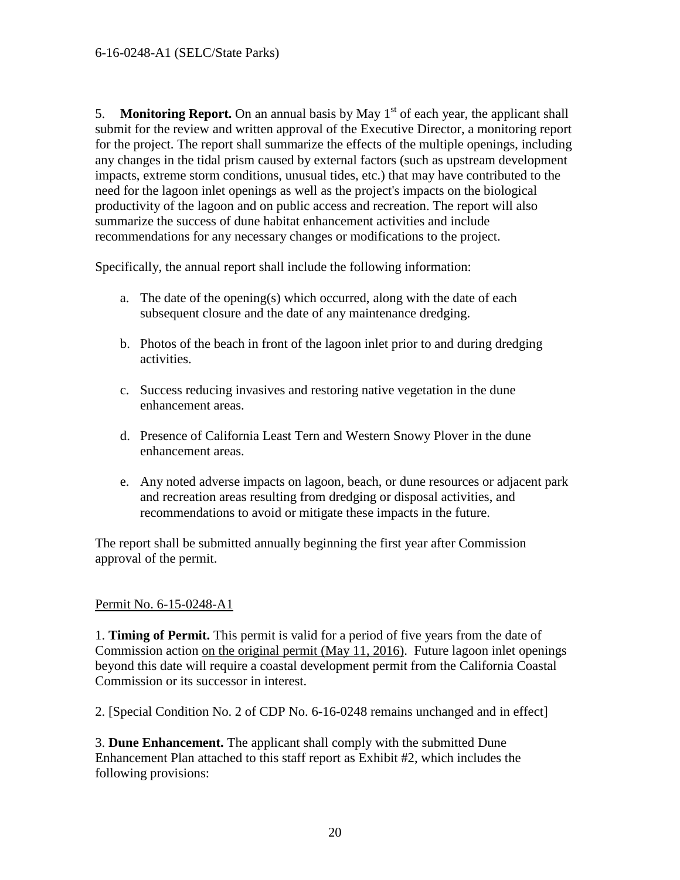5. **Monitoring Report.** On an annual basis by May  $1<sup>st</sup>$  of each year, the applicant shall submit for the review and written approval of the Executive Director, a monitoring report for the project. The report shall summarize the effects of the multiple openings, including any changes in the tidal prism caused by external factors (such as upstream development impacts, extreme storm conditions, unusual tides, etc.) that may have contributed to the need for the lagoon inlet openings as well as the project's impacts on the biological productivity of the lagoon and on public access and recreation. The report will also summarize the success of dune habitat enhancement activities and include recommendations for any necessary changes or modifications to the project.

Specifically, the annual report shall include the following information:

- a. The date of the opening(s) which occurred, along with the date of each subsequent closure and the date of any maintenance dredging.
- b. Photos of the beach in front of the lagoon inlet prior to and during dredging activities.
- c. Success reducing invasives and restoring native vegetation in the dune enhancement areas.
- d. Presence of California Least Tern and Western Snowy Plover in the dune enhancement areas.
- e. Any noted adverse impacts on lagoon, beach, or dune resources or adjacent park and recreation areas resulting from dredging or disposal activities, and recommendations to avoid or mitigate these impacts in the future.

The report shall be submitted annually beginning the first year after Commission approval of the permit.

#### Permit No. 6-15-0248-A1

1. **Timing of Permit.** This permit is valid for a period of five years from the date of Commission action on the original permit (May 11, 2016). Future lagoon inlet openings beyond this date will require a coastal development permit from the California Coastal Commission or its successor in interest.

2. [Special Condition No. 2 of CDP No. 6-16-0248 remains unchanged and in effect]

3. **Dune Enhancement.** The applicant shall comply with the submitted Dune Enhancement Plan attached to this staff report as Exhibit #2, which includes the following provisions: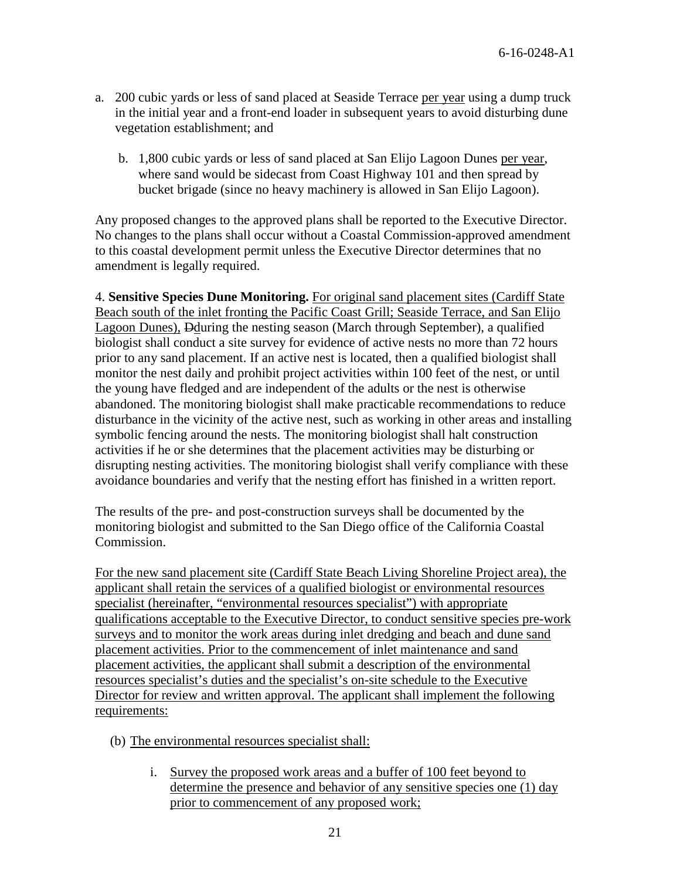- a. 200 cubic yards or less of sand placed at Seaside Terrace per year using a dump truck in the initial year and a front-end loader in subsequent years to avoid disturbing dune vegetation establishment; and
	- b. 1,800 cubic yards or less of sand placed at San Elijo Lagoon Dunes per year, where sand would be sidecast from Coast Highway 101 and then spread by bucket brigade (since no heavy machinery is allowed in San Elijo Lagoon).

Any proposed changes to the approved plans shall be reported to the Executive Director. No changes to the plans shall occur without a Coastal Commission-approved amendment to this coastal development permit unless the Executive Director determines that no amendment is legally required.

4. **Sensitive Species Dune Monitoring.** For original sand placement sites (Cardiff State Beach south of the inlet fronting the Pacific Coast Grill; Seaside Terrace, and San Elijo Lagoon Dunes), Dduring the nesting season (March through September), a qualified biologist shall conduct a site survey for evidence of active nests no more than 72 hours prior to any sand placement. If an active nest is located, then a qualified biologist shall monitor the nest daily and prohibit project activities within 100 feet of the nest, or until the young have fledged and are independent of the adults or the nest is otherwise abandoned. The monitoring biologist shall make practicable recommendations to reduce disturbance in the vicinity of the active nest, such as working in other areas and installing symbolic fencing around the nests. The monitoring biologist shall halt construction activities if he or she determines that the placement activities may be disturbing or disrupting nesting activities. The monitoring biologist shall verify compliance with these avoidance boundaries and verify that the nesting effort has finished in a written report.

The results of the pre- and post-construction surveys shall be documented by the monitoring biologist and submitted to the San Diego office of the California Coastal Commission.

For the new sand placement site (Cardiff State Beach Living Shoreline Project area), the applicant shall retain the services of a qualified biologist or environmental resources specialist (hereinafter, "environmental resources specialist") with appropriate qualifications acceptable to the Executive Director, to conduct sensitive species pre-work surveys and to monitor the work areas during inlet dredging and beach and dune sand placement activities. Prior to the commencement of inlet maintenance and sand placement activities, the applicant shall submit a description of the environmental resources specialist's duties and the specialist's on-site schedule to the Executive Director for review and written approval. The applicant shall implement the following requirements:

- (b) The environmental resources specialist shall:
	- i. Survey the proposed work areas and a buffer of 100 feet beyond to determine the presence and behavior of any sensitive species one (1) day prior to commencement of any proposed work;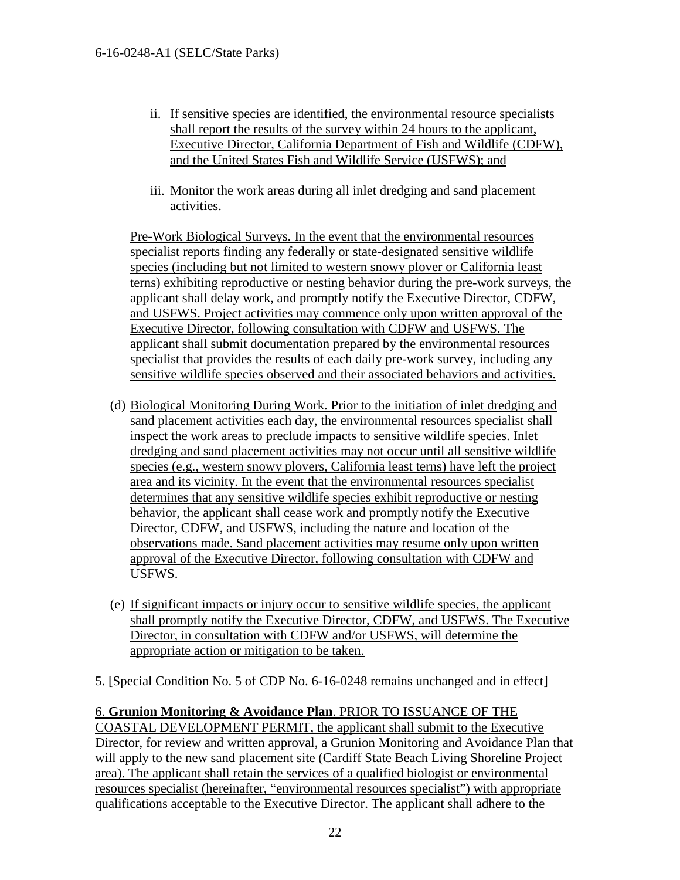- ii. If sensitive species are identified, the environmental resource specialists shall report the results of the survey within 24 hours to the applicant, Executive Director, California Department of Fish and Wildlife (CDFW), and the United States Fish and Wildlife Service (USFWS); and
- iii. Monitor the work areas during all inlet dredging and sand placement activities.

Pre-Work Biological Surveys. In the event that the environmental resources specialist reports finding any federally or state-designated sensitive wildlife species (including but not limited to western snowy plover or California least terns) exhibiting reproductive or nesting behavior during the pre-work surveys, the applicant shall delay work, and promptly notify the Executive Director, CDFW, and USFWS. Project activities may commence only upon written approval of the Executive Director, following consultation with CDFW and USFWS. The applicant shall submit documentation prepared by the environmental resources specialist that provides the results of each daily pre-work survey, including any sensitive wildlife species observed and their associated behaviors and activities.

- (d) Biological Monitoring During Work. Prior to the initiation of inlet dredging and sand placement activities each day, the environmental resources specialist shall inspect the work areas to preclude impacts to sensitive wildlife species. Inlet dredging and sand placement activities may not occur until all sensitive wildlife species (e.g., western snowy plovers, California least terns) have left the project area and its vicinity. In the event that the environmental resources specialist determines that any sensitive wildlife species exhibit reproductive or nesting behavior, the applicant shall cease work and promptly notify the Executive Director, CDFW, and USFWS, including the nature and location of the observations made. Sand placement activities may resume only upon written approval of the Executive Director, following consultation with CDFW and USFWS.
- (e) If significant impacts or injury occur to sensitive wildlife species, the applicant shall promptly notify the Executive Director, CDFW, and USFWS. The Executive Director, in consultation with CDFW and/or USFWS, will determine the appropriate action or mitigation to be taken.

5. [Special Condition No. 5 of CDP No. 6-16-0248 remains unchanged and in effect]

6. **Grunion Monitoring & Avoidance Plan**. PRIOR TO ISSUANCE OF THE COASTAL DEVELOPMENT PERMIT, the applicant shall submit to the Executive Director, for review and written approval, a Grunion Monitoring and Avoidance Plan that will apply to the new sand placement site (Cardiff State Beach Living Shoreline Project area). The applicant shall retain the services of a qualified biologist or environmental resources specialist (hereinafter, "environmental resources specialist") with appropriate qualifications acceptable to the Executive Director. The applicant shall adhere to the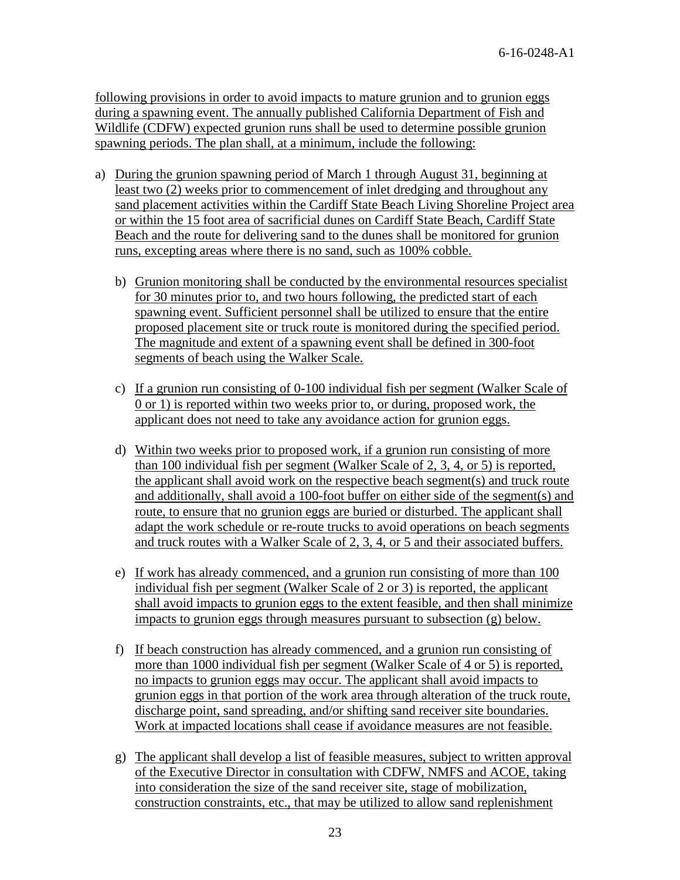following provisions in order to avoid impacts to mature grunion and to grunion eggs during a spawning event. The annually published California Department of Fish and Wildlife (CDFW) expected grunion runs shall be used to determine possible grunion spawning periods. The plan shall, at a minimum, include the following:

- a) During the grunion spawning period of March 1 through August 31, beginning at least two (2) weeks prior to commencement of inlet dredging and throughout any sand placement activities within the Cardiff State Beach Living Shoreline Project area or within the 15 foot area of sacrificial dunes on Cardiff State Beach, Cardiff State Beach and the route for delivering sand to the dunes shall be monitored for grunion runs, excepting areas where there is no sand, such as 100% cobble.
	- b) Grunion monitoring shall be conducted by the environmental resources specialist for 30 minutes prior to, and two hours following, the predicted start of each spawning event. Sufficient personnel shall be utilized to ensure that the entire proposed placement site or truck route is monitored during the specified period. The magnitude and extent of a spawning event shall be defined in 300-foot segments of beach using the Walker Scale.
	- c) If a grunion run consisting of 0-100 individual fish per segment (Walker Scale of  $(0 \text{ or } 1)$  is reported within two weeks prior to, or during, proposed work, the applicant does not need to take any avoidance action for grunion eggs.
	- d) Within two weeks prior to proposed work, if a grunion run consisting of more than 100 individual fish per segment (Walker Scale of 2, 3, 4, or 5) is reported, the applicant shall avoid work on the respective beach segment(s) and truck route and additionally, shall avoid a 100-foot buffer on either side of the segment(s) and route, to ensure that no grunion eggs are buried or disturbed. The applicant shall adapt the work schedule or re-route trucks to avoid operations on beach segments and truck routes with a Walker Scale of 2, 3, 4, or 5 and their associated buffers.
	- e) If work has already commenced, and a grunion run consisting of more than 100 individual fish per segment (Walker Scale of 2 or 3) is reported, the applicant shall avoid impacts to grunion eggs to the extent feasible, and then shall minimize impacts to grunion eggs through measures pursuant to subsection (g) below.
	- f) If beach construction has already commenced, and a grunion run consisting of more than 1000 individual fish per segment (Walker Scale of 4 or 5) is reported, no impacts to grunion eggs may occur. The applicant shall avoid impacts to grunion eggs in that portion of the work area through alteration of the truck route, discharge point, sand spreading, and/or shifting sand receiver site boundaries. Work at impacted locations shall cease if avoidance measures are not feasible.
	- g) The applicant shall develop a list of feasible measures, subject to written approval of the Executive Director in consultation with CDFW, NMFS and ACOE, taking into consideration the size of the sand receiver site, stage of mobilization, construction constraints, etc., that may be utilized to allow sand replenishment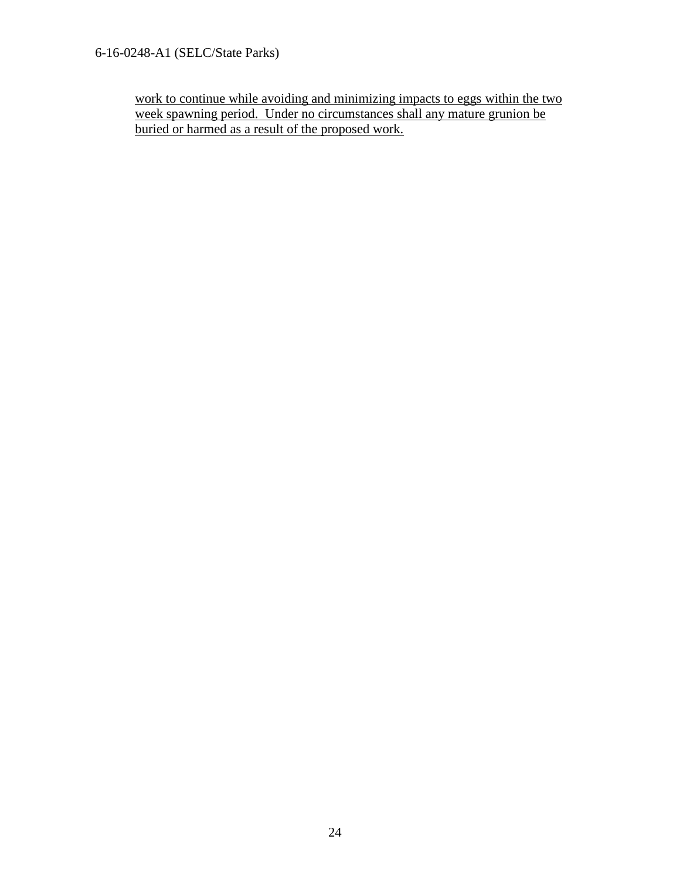6-16-0248-A1 (SELC/State Parks)

work to continue while avoiding and minimizing impacts to eggs within the two week spawning period. Under no circumstances shall any mature grunion be buried or harmed as a result of the proposed work.